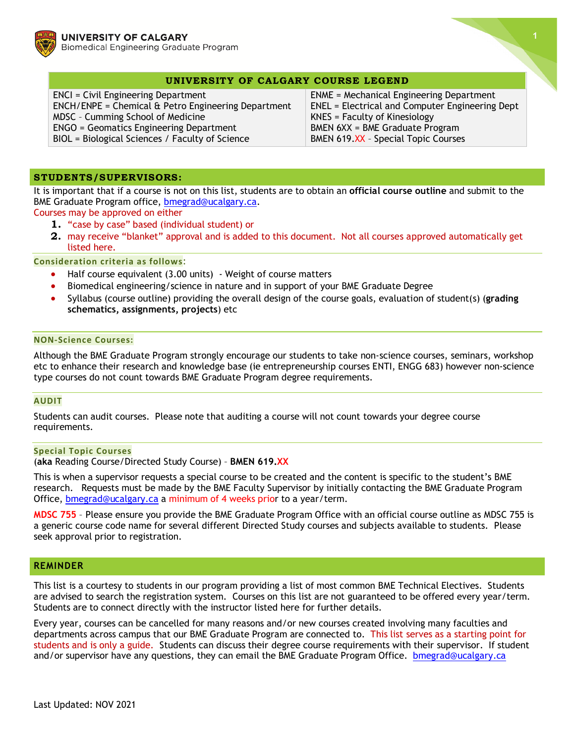



## **UNIVERSITY OF CALGARY COURSE LEGEND**

ENCI = Civil Engineering Department ENCH/ENPE = Chemical & Petro Engineering Department MDSC – Cumming School of Medicine ENGO = Geomatics Engineering Department BIOL = Biological Sciences / Faculty of Science

ENME = Mechanical Engineering Department ENEL = Electrical and Computer Engineering Dept KNES = Faculty of Kinesiology BMEN 6XX = BME Graduate Program BMEN 619.XX - Special Topic Courses

## **STUDENTS/SUPERVISORS:**

It is important that if a course is not on this list, students are to obtain an **official course outline** and submit to the BME Graduate Program office, [bmegrad@ucalgary.ca.](mailto:bmegrad@ucalgary.ca)

Courses may be approved on either

- **1.** "case by case" based (individual student) or
- **2.** may receive "blanket" approval and is added to this document. Not all courses approved automatically get listed here.

**Consideration criteria as follows**:

- Half course equivalent (3.00 units) Weight of course matters
- Biomedical engineering/science in nature and in support of your BME Graduate Degree
- Syllabus (course outline) providing the overall design of the course goals, evaluation of student(s) (**grading schematics, assignments, projects**) etc

## **NON-Science Courses:**

Although the BME Graduate Program strongly encourage our students to take non-science courses, seminars, workshop etc to enhance their research and knowledge base (ie entrepreneurship courses ENTI, ENGG 683) however non-science type courses do not count towards BME Graduate Program degree requirements.

#### **AUDIT**

Students can audit courses. Please note that auditing a course will not count towards your degree course requirements.

#### **Special Topic Courses**

(**aka** Reading Course/Directed Study Course) – **BMEN 619.XX**

This is when a supervisor requests a special course to be created and the content is specific to the student's BME research. Requests must be made by the BME Faculty Supervisor by initially contacting the BME Graduate Program Office, **bmegrad@ucalgary.ca** a minimum of 4 weeks prior to a year/term.

**MDSC 755** – Please ensure you provide the BME Graduate Program Office with an official course outline as MDSC 755 is a generic course code name for several different Directed Study courses and subjects available to students. Please seek approval prior to registration.

### **REMINDER**

This list is a courtesy to students in our program providing a list of most common BME Technical Electives. Students are advised to search the registration system. Courses on this list are not guaranteed to be offered every year/term. Students are to connect directly with the instructor listed here for further details.

Every year, courses can be cancelled for many reasons and/or new courses created involving many faculties and departments across campus that our BME Graduate Program are connected to. This list serves as a starting point for students and is only a guide. Students can discuss their degree course requirements with their supervisor. If student and/or supervisor have any questions, they can email the BME Graduate Program Office. **[bmegrad@ucalgary.ca](mailto:bmegrad@ucalgary.ca)**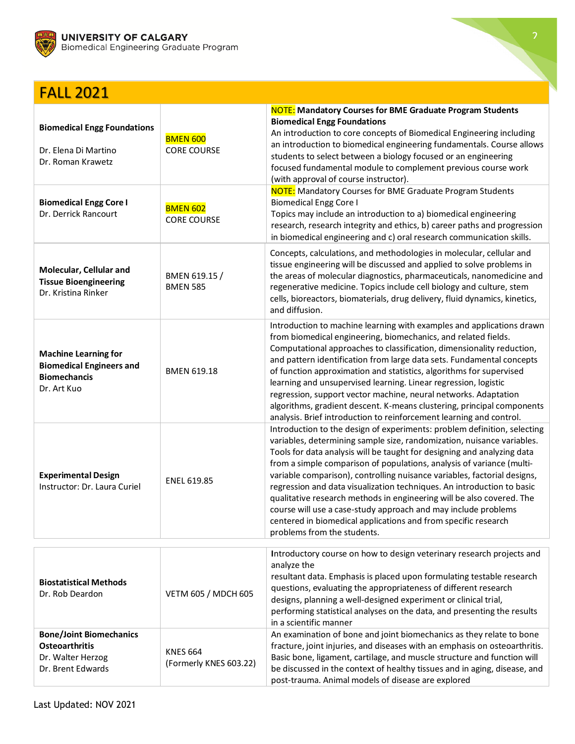

# FALL 2021

| <b>Biomedical Engg Foundations</b><br>Dr. Elena Di Martino<br>Dr. Roman Krawetz                      | <b>BMEN 600</b><br><b>CORE COURSE</b>     | <b>NOTE:</b> Mandatory Courses for BME Graduate Program Students<br><b>Biomedical Engg Foundations</b><br>An introduction to core concepts of Biomedical Engineering including<br>an introduction to biomedical engineering fundamentals. Course allows<br>students to select between a biology focused or an engineering<br>focused fundamental module to complement previous course work<br>(with approval of course instructor).                                                                                                                                                                                                                                                                      |
|------------------------------------------------------------------------------------------------------|-------------------------------------------|----------------------------------------------------------------------------------------------------------------------------------------------------------------------------------------------------------------------------------------------------------------------------------------------------------------------------------------------------------------------------------------------------------------------------------------------------------------------------------------------------------------------------------------------------------------------------------------------------------------------------------------------------------------------------------------------------------|
| <b>Biomedical Engg Core I</b><br>Dr. Derrick Rancourt                                                | <b>BMEN 602</b><br><b>CORE COURSE</b>     | <b>NOTE:</b> Mandatory Courses for BME Graduate Program Students<br><b>Biomedical Engg Core I</b><br>Topics may include an introduction to a) biomedical engineering<br>research, research integrity and ethics, b) career paths and progression<br>in biomedical engineering and c) oral research communication skills.                                                                                                                                                                                                                                                                                                                                                                                 |
| Molecular, Cellular and<br><b>Tissue Bioengineering</b><br>Dr. Kristina Rinker                       | BMEN 619.15 /<br><b>BMEN 585</b>          | Concepts, calculations, and methodologies in molecular, cellular and<br>tissue engineering will be discussed and applied to solve problems in<br>the areas of molecular diagnostics, pharmaceuticals, nanomedicine and<br>regenerative medicine. Topics include cell biology and culture, stem<br>cells, bioreactors, biomaterials, drug delivery, fluid dynamics, kinetics,<br>and diffusion.                                                                                                                                                                                                                                                                                                           |
| <b>Machine Learning for</b><br><b>Biomedical Engineers and</b><br><b>Biomechancis</b><br>Dr. Art Kuo | <b>BMEN 619.18</b>                        | Introduction to machine learning with examples and applications drawn<br>from biomedical engineering, biomechanics, and related fields.<br>Computational approaches to classification, dimensionality reduction,<br>and pattern identification from large data sets. Fundamental concepts<br>of function approximation and statistics, algorithms for supervised<br>learning and unsupervised learning. Linear regression, logistic<br>regression, support vector machine, neural networks. Adaptation<br>algorithms, gradient descent. K-means clustering, principal components<br>analysis. Brief introduction to reinforcement learning and control.                                                  |
| <b>Experimental Design</b><br>Instructor: Dr. Laura Curiel                                           | ENEL 619.85                               | Introduction to the design of experiments: problem definition, selecting<br>variables, determining sample size, randomization, nuisance variables.<br>Tools for data analysis will be taught for designing and analyzing data<br>from a simple comparison of populations, analysis of variance (multi-<br>variable comparison), controlling nuisance variables, factorial designs,<br>regression and data visualization techniques. An introduction to basic<br>qualitative research methods in engineering will be also covered. The<br>course will use a case-study approach and may include problems<br>centered in biomedical applications and from specific research<br>problems from the students. |
|                                                                                                      |                                           | Introductory course on how to design veterinary research projects and                                                                                                                                                                                                                                                                                                                                                                                                                                                                                                                                                                                                                                    |
| <b>Biostatistical Methods</b><br>Dr. Rob Deardon                                                     | VETM 605 / MDCH 605                       | analyze the<br>resultant data. Emphasis is placed upon formulating testable research<br>questions, evaluating the appropriateness of different research<br>designs, planning a well-designed experiment or clinical trial,<br>performing statistical analyses on the data, and presenting the results<br>in a scientific manner                                                                                                                                                                                                                                                                                                                                                                          |
| <b>Bone/Joint Biomechanics</b><br><b>Osteoarthritis</b><br>Dr. Walter Herzog<br>Dr. Brent Edwards    | <b>KNES 664</b><br>(Formerly KNES 603.22) | An examination of bone and joint biomechanics as they relate to bone<br>fracture, joint injuries, and diseases with an emphasis on osteoarthritis.<br>Basic bone, ligament, cartilage, and muscle structure and function will<br>be discussed in the context of healthy tissues and in aging, disease, and<br>post-trauma. Animal models of disease are explored                                                                                                                                                                                                                                                                                                                                         |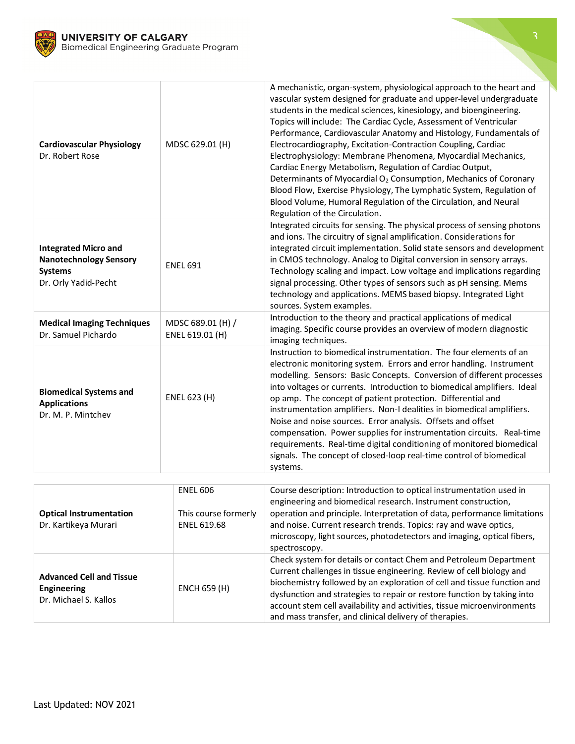

| <b>Cardiovascular Physiology</b><br>Dr. Robert Rose                                                    | MDSC 629.01 (H)                                               | A mechanistic, organ-system, physiological approach to the heart and<br>vascular system designed for graduate and upper-level undergraduate<br>students in the medical sciences, kinesiology, and bioengineering.<br>Topics will include: The Cardiac Cycle, Assessment of Ventricular<br>Performance, Cardiovascular Anatomy and Histology, Fundamentals of<br>Electrocardiography, Excitation-Contraction Coupling, Cardiac<br>Electrophysiology: Membrane Phenomena, Myocardial Mechanics,<br>Cardiac Energy Metabolism, Regulation of Cardiac Output,<br>Determinants of Myocardial O <sub>2</sub> Consumption, Mechanics of Coronary<br>Blood Flow, Exercise Physiology, The Lymphatic System, Regulation of<br>Blood Volume, Humoral Regulation of the Circulation, and Neural<br>Regulation of the Circulation. |
|--------------------------------------------------------------------------------------------------------|---------------------------------------------------------------|------------------------------------------------------------------------------------------------------------------------------------------------------------------------------------------------------------------------------------------------------------------------------------------------------------------------------------------------------------------------------------------------------------------------------------------------------------------------------------------------------------------------------------------------------------------------------------------------------------------------------------------------------------------------------------------------------------------------------------------------------------------------------------------------------------------------|
| <b>Integrated Micro and</b><br><b>Nanotechnology Sensory</b><br><b>Systems</b><br>Dr. Orly Yadid-Pecht | <b>ENEL 691</b>                                               | Integrated circuits for sensing. The physical process of sensing photons<br>and ions. The circuitry of signal amplification. Considerations for<br>integrated circuit implementation. Solid state sensors and development<br>in CMOS technology. Analog to Digital conversion in sensory arrays.<br>Technology scaling and impact. Low voltage and implications regarding<br>signal processing. Other types of sensors such as pH sensing. Mems<br>technology and applications. MEMS based biopsy. Integrated Light<br>sources. System examples.                                                                                                                                                                                                                                                                       |
| <b>Medical Imaging Techniques</b><br>Dr. Samuel Pichardo                                               | MDSC 689.01 (H) /<br>ENEL 619.01 (H)                          | Introduction to the theory and practical applications of medical<br>imaging. Specific course provides an overview of modern diagnostic<br>imaging techniques.                                                                                                                                                                                                                                                                                                                                                                                                                                                                                                                                                                                                                                                          |
| <b>Biomedical Systems and</b><br><b>Applications</b><br>Dr. M. P. Mintchev                             | ENEL 623 (H)                                                  | Instruction to biomedical instrumentation. The four elements of an<br>electronic monitoring system. Errors and error handling. Instrument<br>modelling. Sensors: Basic Concepts. Conversion of different processes<br>into voltages or currents. Introduction to biomedical amplifiers. Ideal<br>op amp. The concept of patient protection. Differential and<br>instrumentation amplifiers. Non-I dealities in biomedical amplifiers.<br>Noise and noise sources. Error analysis. Offsets and offset<br>compensation. Power supplies for instrumentation circuits. Real-time<br>requirements. Real-time digital conditioning of monitored biomedical<br>signals. The concept of closed-loop real-time control of biomedical<br>systems.                                                                                |
|                                                                                                        |                                                               |                                                                                                                                                                                                                                                                                                                                                                                                                                                                                                                                                                                                                                                                                                                                                                                                                        |
| <b>Optical Instrumentation</b><br>Dr. Kartikeya Murari                                                 | <b>ENEL 606</b><br>This course formerly<br><b>ENEL 619.68</b> | Course description: Introduction to optical instrumentation used in<br>engineering and biomedical research. Instrument construction,<br>operation and principle. Interpretation of data, performance limitations<br>and noise. Current research trends. Topics: ray and wave optics,<br>microscopy, light sources, photodetectors and imaging, optical fibers,                                                                                                                                                                                                                                                                                                                                                                                                                                                         |

|                                                                         |              | microscopy, light sources, photodetectors and imaging, optical fibers,<br>spectroscopy.                                                                                                                                                                                                                                                                                                                                              |
|-------------------------------------------------------------------------|--------------|--------------------------------------------------------------------------------------------------------------------------------------------------------------------------------------------------------------------------------------------------------------------------------------------------------------------------------------------------------------------------------------------------------------------------------------|
| <b>Advanced Cell and Tissue</b><br>Engineering<br>Dr. Michael S. Kallos | ENCH 659 (H) | Check system for details or contact Chem and Petroleum Department<br>Current challenges in tissue engineering. Review of cell biology and<br>biochemistry followed by an exploration of cell and tissue function and<br>dysfunction and strategies to repair or restore function by taking into<br>account stem cell availability and activities, tissue microenvironments<br>and mass transfer, and clinical delivery of therapies. |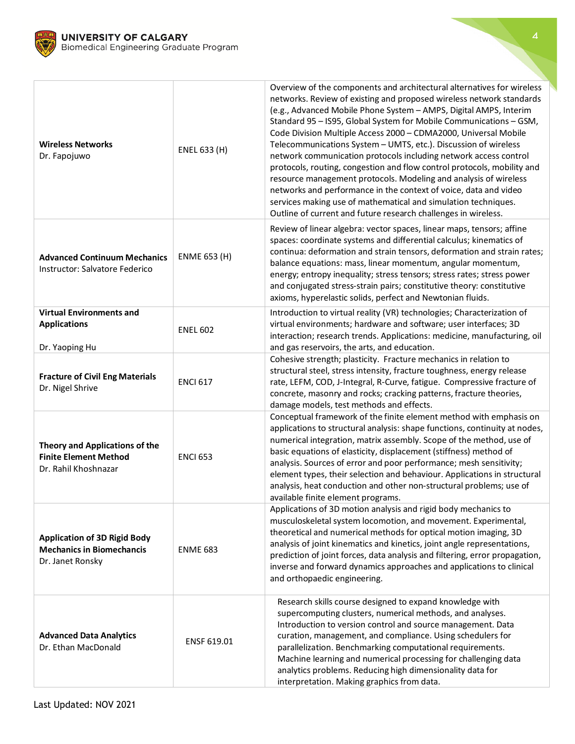

| <b>Wireless Networks</b><br>Dr. Fapojuwo                                                    | ENEL 633 (H)        | Overview of the components and architectural alternatives for wireless<br>networks. Review of existing and proposed wireless network standards<br>(e.g., Advanced Mobile Phone System - AMPS, Digital AMPS, Interim<br>Standard 95 - IS95, Global System for Mobile Communications - GSM,<br>Code Division Multiple Access 2000 - CDMA2000, Universal Mobile<br>Telecommunications System - UMTS, etc.). Discussion of wireless<br>network communication protocols including network access control<br>protocols, routing, congestion and flow control protocols, mobility and<br>resource management protocols. Modeling and analysis of wireless<br>networks and performance in the context of voice, data and video<br>services making use of mathematical and simulation techniques.<br>Outline of current and future research challenges in wireless. |
|---------------------------------------------------------------------------------------------|---------------------|------------------------------------------------------------------------------------------------------------------------------------------------------------------------------------------------------------------------------------------------------------------------------------------------------------------------------------------------------------------------------------------------------------------------------------------------------------------------------------------------------------------------------------------------------------------------------------------------------------------------------------------------------------------------------------------------------------------------------------------------------------------------------------------------------------------------------------------------------------|
| <b>Advanced Continuum Mechanics</b><br>Instructor: Salvatore Federico                       | <b>ENME 653 (H)</b> | Review of linear algebra: vector spaces, linear maps, tensors; affine<br>spaces: coordinate systems and differential calculus; kinematics of<br>continua: deformation and strain tensors, deformation and strain rates;<br>balance equations: mass, linear momentum, angular momentum,<br>energy; entropy inequality; stress tensors; stress rates; stress power<br>and conjugated stress-strain pairs; constitutive theory: constitutive<br>axioms, hyperelastic solids, perfect and Newtonian fluids.                                                                                                                                                                                                                                                                                                                                                    |
| <b>Virtual Environments and</b><br><b>Applications</b><br>Dr. Yaoping Hu                    | <b>ENEL 602</b>     | Introduction to virtual reality (VR) technologies; Characterization of<br>virtual environments; hardware and software; user interfaces; 3D<br>interaction; research trends. Applications: medicine, manufacturing, oil<br>and gas reservoirs, the arts, and education.                                                                                                                                                                                                                                                                                                                                                                                                                                                                                                                                                                                     |
| <b>Fracture of Civil Eng Materials</b><br>Dr. Nigel Shrive                                  | <b>ENCI 617</b>     | Cohesive strength; plasticity. Fracture mechanics in relation to<br>structural steel, stress intensity, fracture toughness, energy release<br>rate, LEFM, COD, J-Integral, R-Curve, fatigue. Compressive fracture of<br>concrete, masonry and rocks; cracking patterns, fracture theories,<br>damage models, test methods and effects.                                                                                                                                                                                                                                                                                                                                                                                                                                                                                                                     |
| Theory and Applications of the<br><b>Finite Element Method</b><br>Dr. Rahil Khoshnazar      | <b>ENCI 653</b>     | Conceptual framework of the finite element method with emphasis on<br>applications to structural analysis: shape functions, continuity at nodes,<br>numerical integration, matrix assembly. Scope of the method, use of<br>basic equations of elasticity, displacement (stiffness) method of<br>analysis. Sources of error and poor performance; mesh sensitivity;<br>element types, their selection and behaviour. Applications in structural<br>analysis, heat conduction and other non-structural problems; use of<br>available finite element programs.                                                                                                                                                                                                                                                                                                |
| <b>Application of 3D Rigid Body</b><br><b>Mechanics in Biomechancis</b><br>Dr. Janet Ronsky | <b>ENME 683</b>     | Applications of 3D motion analysis and rigid body mechanics to<br>musculoskeletal system locomotion, and movement. Experimental,<br>theoretical and numerical methods for optical motion imaging, 3D<br>analysis of joint kinematics and kinetics, joint angle representations,<br>prediction of joint forces, data analysis and filtering, error propagation,<br>inverse and forward dynamics approaches and applications to clinical<br>and orthopaedic engineering.                                                                                                                                                                                                                                                                                                                                                                                     |
| <b>Advanced Data Analytics</b><br>Dr. Ethan MacDonald                                       | ENSF 619.01         | Research skills course designed to expand knowledge with<br>supercomputing clusters, numerical methods, and analyses.<br>Introduction to version control and source management. Data<br>curation, management, and compliance. Using schedulers for<br>parallelization. Benchmarking computational requirements.<br>Machine learning and numerical processing for challenging data<br>analytics problems. Reducing high dimensionality data for<br>interpretation. Making graphics from data.                                                                                                                                                                                                                                                                                                                                                               |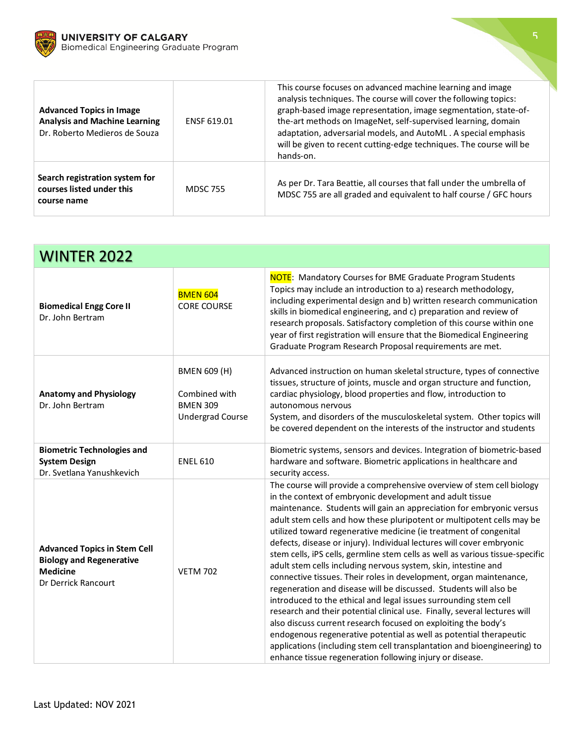



| <b>Advanced Topics in Image</b><br><b>Analysis and Machine Learning</b><br>Dr. Roberto Medieros de Souza | <b>ENSF 619.01</b> | This course focuses on advanced machine learning and image<br>analysis techniques. The course will cover the following topics:<br>graph-based image representation, image segmentation, state-of-<br>the-art methods on ImageNet, self-supervised learning, domain<br>adaptation, adversarial models, and AutoML. A special emphasis<br>will be given to recent cutting-edge techniques. The course will be<br>hands-on. |
|----------------------------------------------------------------------------------------------------------|--------------------|--------------------------------------------------------------------------------------------------------------------------------------------------------------------------------------------------------------------------------------------------------------------------------------------------------------------------------------------------------------------------------------------------------------------------|
| Search registration system for<br>courses listed under this<br>course name                               | <b>MDSC 755</b>    | As per Dr. Tara Beattie, all courses that fall under the umbrella of<br>MDSC 755 are all graded and equivalent to half course / GFC hours                                                                                                                                                                                                                                                                                |

| <b>WINTER 2022</b>                                                                                               |                                                                                    |                                                                                                                                                                                                                                                                                                                                                                                                                                                                                                                                                                                                                                                                                                                                                                                                                                                                                                                                                                                                                                                                                                                                                                  |
|------------------------------------------------------------------------------------------------------------------|------------------------------------------------------------------------------------|------------------------------------------------------------------------------------------------------------------------------------------------------------------------------------------------------------------------------------------------------------------------------------------------------------------------------------------------------------------------------------------------------------------------------------------------------------------------------------------------------------------------------------------------------------------------------------------------------------------------------------------------------------------------------------------------------------------------------------------------------------------------------------------------------------------------------------------------------------------------------------------------------------------------------------------------------------------------------------------------------------------------------------------------------------------------------------------------------------------------------------------------------------------|
| <b>Biomedical Engg Core II</b><br>Dr. John Bertram                                                               | <b>BMEN 604</b><br><b>CORE COURSE</b>                                              | <b>NOTE:</b> Mandatory Courses for BME Graduate Program Students<br>Topics may include an introduction to a) research methodology,<br>including experimental design and b) written research communication<br>skills in biomedical engineering, and c) preparation and review of<br>research proposals. Satisfactory completion of this course within one<br>year of first registration will ensure that the Biomedical Engineering<br>Graduate Program Research Proposal requirements are met.                                                                                                                                                                                                                                                                                                                                                                                                                                                                                                                                                                                                                                                                   |
| <b>Anatomy and Physiology</b><br>Dr. John Bertram                                                                | <b>BMEN 609 (H)</b><br>Combined with<br><b>BMEN 309</b><br><b>Undergrad Course</b> | Advanced instruction on human skeletal structure, types of connective<br>tissues, structure of joints, muscle and organ structure and function,<br>cardiac physiology, blood properties and flow, introduction to<br>autonomous nervous<br>System, and disorders of the musculoskeletal system. Other topics will<br>be covered dependent on the interests of the instructor and students                                                                                                                                                                                                                                                                                                                                                                                                                                                                                                                                                                                                                                                                                                                                                                        |
| <b>Biometric Technologies and</b><br><b>System Design</b><br>Dr. Svetlana Yanushkevich                           | <b>ENEL 610</b>                                                                    | Biometric systems, sensors and devices. Integration of biometric-based<br>hardware and software. Biometric applications in healthcare and<br>security access.                                                                                                                                                                                                                                                                                                                                                                                                                                                                                                                                                                                                                                                                                                                                                                                                                                                                                                                                                                                                    |
| <b>Advanced Topics in Stem Cell</b><br><b>Biology and Regenerative</b><br><b>Medicine</b><br>Dr Derrick Rancourt | <b>VETM 702</b>                                                                    | The course will provide a comprehensive overview of stem cell biology<br>in the context of embryonic development and adult tissue<br>maintenance. Students will gain an appreciation for embryonic versus<br>adult stem cells and how these pluripotent or multipotent cells may be<br>utilized toward regenerative medicine (ie treatment of congenital<br>defects, disease or injury). Individual lectures will cover embryonic<br>stem cells, iPS cells, germline stem cells as well as various tissue-specific<br>adult stem cells including nervous system, skin, intestine and<br>connective tissues. Their roles in development, organ maintenance,<br>regeneration and disease will be discussed. Students will also be<br>introduced to the ethical and legal issues surrounding stem cell<br>research and their potential clinical use. Finally, several lectures will<br>also discuss current research focused on exploiting the body's<br>endogenous regenerative potential as well as potential therapeutic<br>applications (including stem cell transplantation and bioengineering) to<br>enhance tissue regeneration following injury or disease. |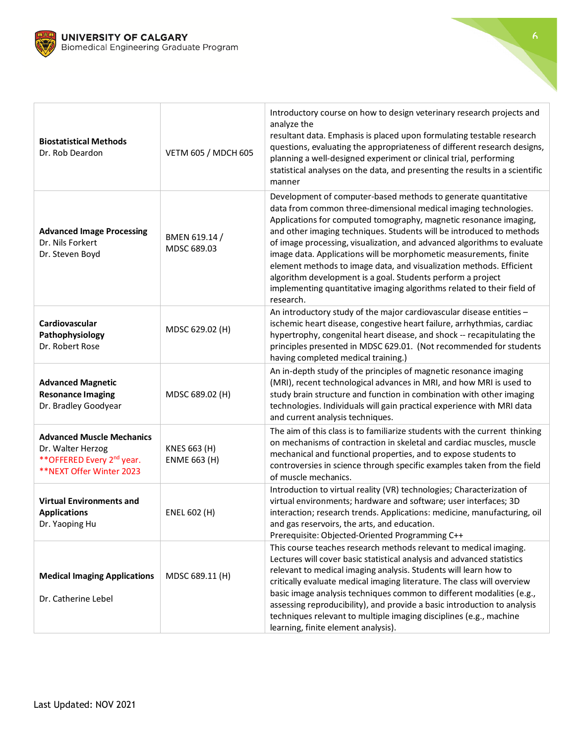



| <b>Biostatistical Methods</b><br>Dr. Rob Deardon                                                                            | VETM 605 / MDCH 605                 | Introductory course on how to design veterinary research projects and<br>analyze the<br>resultant data. Emphasis is placed upon formulating testable research<br>questions, evaluating the appropriateness of different research designs,<br>planning a well-designed experiment or clinical trial, performing<br>statistical analyses on the data, and presenting the results in a scientific<br>manner                                                                                                                                                                                                                                                     |
|-----------------------------------------------------------------------------------------------------------------------------|-------------------------------------|--------------------------------------------------------------------------------------------------------------------------------------------------------------------------------------------------------------------------------------------------------------------------------------------------------------------------------------------------------------------------------------------------------------------------------------------------------------------------------------------------------------------------------------------------------------------------------------------------------------------------------------------------------------|
| <b>Advanced Image Processing</b><br>Dr. Nils Forkert<br>Dr. Steven Boyd                                                     | BMEN 619.14 /<br>MDSC 689.03        | Development of computer-based methods to generate quantitative<br>data from common three-dimensional medical imaging technologies.<br>Applications for computed tomography, magnetic resonance imaging,<br>and other imaging techniques. Students will be introduced to methods<br>of image processing, visualization, and advanced algorithms to evaluate<br>image data. Applications will be morphometic measurements, finite<br>element methods to image data, and visualization methods. Efficient<br>algorithm development is a goal. Students perform a project<br>implementing quantitative imaging algorithms related to their field of<br>research. |
| Cardiovascular<br>Pathophysiology<br>Dr. Robert Rose                                                                        | MDSC 629.02 (H)                     | An introductory study of the major cardiovascular disease entities -<br>ischemic heart disease, congestive heart failure, arrhythmias, cardiac<br>hypertrophy, congenital heart disease, and shock -- recapitulating the<br>principles presented in MDSC 629.01. (Not recommended for students<br>having completed medical training.)                                                                                                                                                                                                                                                                                                                        |
| <b>Advanced Magnetic</b><br><b>Resonance Imaging</b><br>Dr. Bradley Goodyear                                                | MDSC 689.02 (H)                     | An in-depth study of the principles of magnetic resonance imaging<br>(MRI), recent technological advances in MRI, and how MRI is used to<br>study brain structure and function in combination with other imaging<br>technologies. Individuals will gain practical experience with MRI data<br>and current analysis techniques.                                                                                                                                                                                                                                                                                                                               |
| <b>Advanced Muscle Mechanics</b><br>Dr. Walter Herzog<br>** OFFERED Every 2 <sup>nd</sup> year.<br>**NEXT Offer Winter 2023 | KNES 663 (H)<br><b>ENME 663 (H)</b> | The aim of this class is to familiarize students with the current thinking<br>on mechanisms of contraction in skeletal and cardiac muscles, muscle<br>mechanical and functional properties, and to expose students to<br>controversies in science through specific examples taken from the field<br>of muscle mechanics.                                                                                                                                                                                                                                                                                                                                     |
| <b>Virtual Environments and</b><br><b>Applications</b><br>Dr. Yaoping Hu                                                    | ENEL 602 (H)                        | Introduction to virtual reality (VR) technologies; Characterization of<br>virtual environments; hardware and software; user interfaces; 3D<br>interaction; research trends. Applications: medicine, manufacturing, oil<br>and gas reservoirs, the arts, and education.<br>Prerequisite: Objected-Oriented Programming C++                                                                                                                                                                                                                                                                                                                                    |
| <b>Medical Imaging Applications</b><br>Dr. Catherine Lebel                                                                  | MDSC 689.11 (H)                     | This course teaches research methods relevant to medical imaging.<br>Lectures will cover basic statistical analysis and advanced statistics<br>relevant to medical imaging analysis. Students will learn how to<br>critically evaluate medical imaging literature. The class will overview<br>basic image analysis techniques common to different modalities (e.g.,<br>assessing reproducibility), and provide a basic introduction to analysis<br>techniques relevant to multiple imaging disciplines (e.g., machine<br>learning, finite element analysis).                                                                                                 |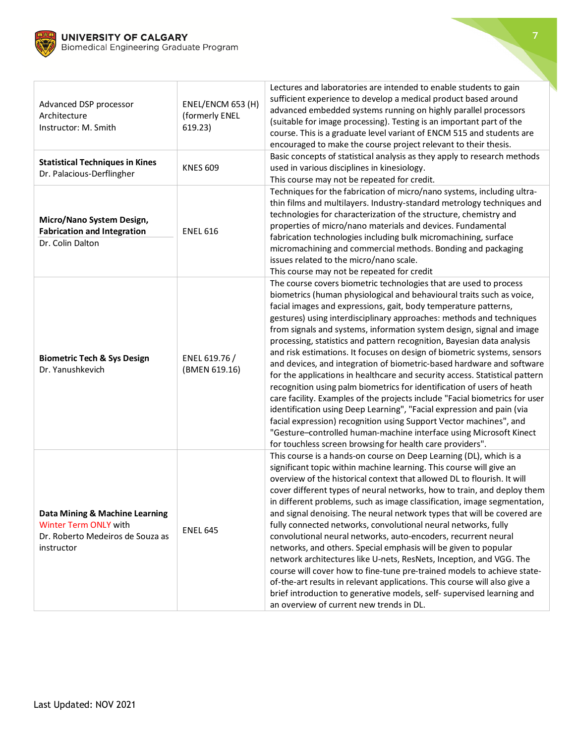

| Advanced DSP processor<br>Architecture<br>Instructor: M. Smith<br><b>Statistical Techniques in Kines</b>  | ENEL/ENCM 653 (H)<br>(formerly ENEL<br>619.23) | Lectures and laboratories are intended to enable students to gain<br>sufficient experience to develop a medical product based around<br>advanced embedded systems running on highly parallel processors<br>(suitable for image processing). Testing is an important part of the<br>course. This is a graduate level variant of ENCM 515 and students are<br>encouraged to make the course project relevant to their thesis.<br>Basic concepts of statistical analysis as they apply to research methods                                                                                                                                                                                                                                                                                                                                                                                                                                                                                                                                                                                                                 |
|-----------------------------------------------------------------------------------------------------------|------------------------------------------------|-------------------------------------------------------------------------------------------------------------------------------------------------------------------------------------------------------------------------------------------------------------------------------------------------------------------------------------------------------------------------------------------------------------------------------------------------------------------------------------------------------------------------------------------------------------------------------------------------------------------------------------------------------------------------------------------------------------------------------------------------------------------------------------------------------------------------------------------------------------------------------------------------------------------------------------------------------------------------------------------------------------------------------------------------------------------------------------------------------------------------|
| Dr. Palacious-Derflingher                                                                                 | <b>KNES 609</b>                                | used in various disciplines in kinesiology.<br>This course may not be repeated for credit.                                                                                                                                                                                                                                                                                                                                                                                                                                                                                                                                                                                                                                                                                                                                                                                                                                                                                                                                                                                                                              |
| Micro/Nano System Design,<br><b>Fabrication and Integration</b><br>Dr. Colin Dalton                       | <b>ENEL 616</b>                                | Techniques for the fabrication of micro/nano systems, including ultra-<br>thin films and multilayers. Industry-standard metrology techniques and<br>technologies for characterization of the structure, chemistry and<br>properties of micro/nano materials and devices. Fundamental<br>fabrication technologies including bulk micromachining, surface<br>micromachining and commercial methods. Bonding and packaging<br>issues related to the micro/nano scale.<br>This course may not be repeated for credit                                                                                                                                                                                                                                                                                                                                                                                                                                                                                                                                                                                                        |
| <b>Biometric Tech &amp; Sys Design</b><br>Dr. Yanushkevich                                                | ENEL 619.76 /<br>(BMEN 619.16)                 | The course covers biometric technologies that are used to process<br>biometrics (human physiological and behavioural traits such as voice,<br>facial images and expressions, gait, body temperature patterns,<br>gestures) using interdisciplinary approaches: methods and techniques<br>from signals and systems, information system design, signal and image<br>processing, statistics and pattern recognition, Bayesian data analysis<br>and risk estimations. It focuses on design of biometric systems, sensors<br>and devices, and integration of biometric-based hardware and software<br>for the applications in healthcare and security access. Statistical pattern<br>recognition using palm biometrics for identification of users of heath<br>care facility. Examples of the projects include "Facial biometrics for user<br>identification using Deep Learning", "Facial expression and pain (via<br>facial expression) recognition using Support Vector machines", and<br>"Gesture-controlled human-machine interface using Microsoft Kinect<br>for touchless screen browsing for health care providers". |
| Data Mining & Machine Learning<br>Winter Term ONLY with<br>Dr. Roberto Medeiros de Souza as<br>instructor | <b>ENEL 645</b>                                | This course is a hands-on course on Deep Learning (DL), which is a<br>significant topic within machine learning. This course will give an<br>overview of the historical context that allowed DL to flourish. It will<br>cover different types of neural networks, how to train, and deploy them<br>in different problems, such as image classification, image segmentation,<br>and signal denoising. The neural network types that will be covered are<br>fully connected networks, convolutional neural networks, fully<br>convolutional neural networks, auto-encoders, recurrent neural<br>networks, and others. Special emphasis will be given to popular<br>network architectures like U-nets, ResNets, Inception, and VGG. The<br>course will cover how to fine-tune pre-trained models to achieve state-<br>of-the-art results in relevant applications. This course will also give a<br>brief introduction to generative models, self- supervised learning and<br>an overview of current new trends in DL.                                                                                                      |